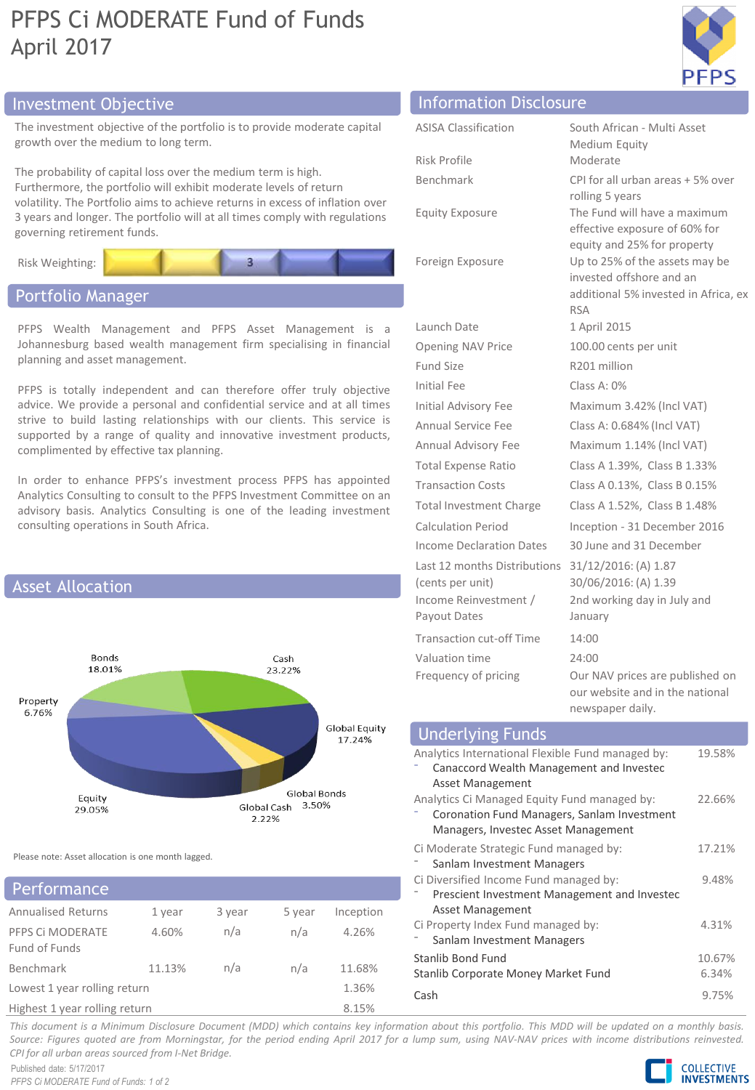## PFPS Ci MODERATE Fund of Funds April 2017



## Investment Objective Information Disclosure

The investment objective of the portfolio is to provide moderate capital growth over the medium to long term.

The probability of capital loss over the medium term is high. Furthermore, the portfolio will exhibit moderate levels of return volatility. The Portfolio aims to achieve returns in excess of inflation over 3 years and longer. The portfolio will at all times comply with regulations governing retirement funds.



## Portfolio Manager

PFPS Wealth Management and PFPS Asset Management is a Johannesburg based wealth management firm specialising in financial planning and asset management.

PFPS is totally independent and can therefore offer truly objective advice. We provide a personal and confidential service and at all times strive to build lasting relationships with our clients. This service is supported by a range of quality and innovative investment products, complimented by effective tax planning.

In order to enhance PFPS's investment process PFPS has appointed Analytics Consulting to consult to the PFPS Investment Committee on an advisory basis. Analytics Consulting is one of the leading investment consulting operations in South Africa.



Please note: Asset allocation is one month lagged.

## Annualised Returns 1 year 3 year 5 year Inception PFPS Ci MODERATE Fund of Funds 4.60% n/a n/a 4.26% Benchmark 11.13% n/a n/a 11.68% Lowest 1 year rolling return 1.36% Highest 1 year rolling return 8.15% **Performance**

| <b>ASISA Classification</b>                      | South African - Multi Asset                                                                                      |
|--------------------------------------------------|------------------------------------------------------------------------------------------------------------------|
|                                                  | Medium Equity                                                                                                    |
| Risk Profile                                     | Moderate                                                                                                         |
| Benchmark                                        | CPI for all urban areas + 5% over                                                                                |
| <b>Equity Exposure</b>                           | rolling 5 years<br>The Fund will have a maximum<br>effective exposure of 60% for<br>equity and 25% for property  |
| Foreign Exposure                                 | Up to 25% of the assets may be<br>invested offshore and an<br>additional 5% invested in Africa, ex<br><b>RSA</b> |
| Launch Date                                      | 1 April 2015                                                                                                     |
| <b>Opening NAV Price</b>                         | 100.00 cents per unit                                                                                            |
| Fund Size                                        | R201 million                                                                                                     |
| Initial Fee                                      | Class A: 0%                                                                                                      |
| <b>Initial Advisory Fee</b>                      | Maximum 3.42% (Incl VAT)                                                                                         |
| Annual Service Fee                               | Class A: 0.684% (Incl VAT)                                                                                       |
| Annual Advisory Fee                              | Maximum 1.14% (Incl VAT)                                                                                         |
| <b>Total Expense Ratio</b>                       | Class A 1.39%, Class B 1.33%                                                                                     |
| <b>Transaction Costs</b>                         | Class A 0.13%, Class B 0.15%                                                                                     |
| <b>Total Investment Charge</b>                   | Class A 1.52%, Class B 1.48%                                                                                     |
| <b>Calculation Period</b>                        | Inception - 31 December 2016                                                                                     |
| <b>Income Declaration Dates</b>                  | 30 June and 31 December                                                                                          |
| Last 12 months Distributions<br>(cents per unit) | 31/12/2016: (A) 1.87<br>30/06/2016: (A) 1.39                                                                     |
| Income Reinvestment /<br>Payout Dates            | 2nd working day in July and<br>January                                                                           |
| <b>Transaction cut-off Time</b>                  | 14:00                                                                                                            |
| Valuation time                                   | 24:00                                                                                                            |
| Frequency of pricing                             | Our NAV prices are published on<br>our website and in the national<br>newspaper daily.                           |

| <b>Underlying Funds</b>                           |        |
|---------------------------------------------------|--------|
| Analytics International Flexible Fund managed by: | 19.58% |
| Canaccord Wealth Management and Investec          |        |
| Asset Management                                  |        |
| Analytics Ci Managed Equity Fund managed by:      | 22.66% |
| Coronation Fund Managers, Sanlam Investment       |        |
| Managers, Investec Asset Management               |        |
| Ci Moderate Strategic Fund managed by:            | 17.21% |
| Sanlam Investment Managers                        |        |
| Ci Diversified Income Fund managed by:            | 9.48%  |
| Prescient Investment Management and Investec      |        |
| Asset Management                                  |        |
| Ci Property Index Fund managed by:                | 4.31%  |
| Sanlam Investment Managers                        |        |
| Stanlib Bond Fund                                 | 10.67% |
| Stanlib Corporate Money Market Fund               | 6.34%  |
| Cash                                              | 9.75%  |

This document is a Minimum Disclosure Document (MDD) which contains key information about this portfolio. This MDD will be updated on a monthly basis. Source: Figures quoted are from Morningstar, for the period ending April 2017 for a lump sum, using NAV-NAV prices with income distributions reinvested. *CPI for all urban areas sourced from I-Net Bridge.*

Published date: 5/17/2017 *PFPS Ci MODERATE Fund of Funds: 1 of 2*